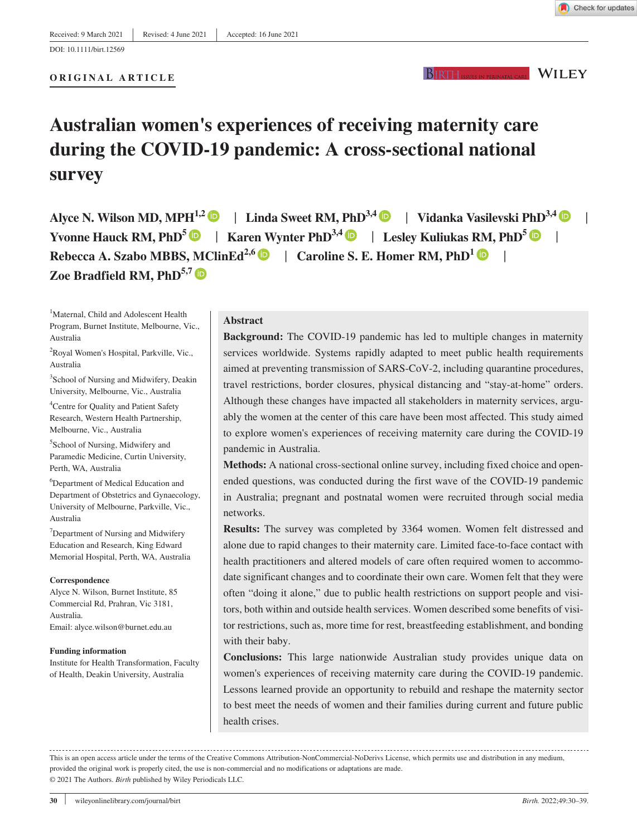DOI: 10.1111/birt.12569

#### **ORIGINAL ARTICLE**

#### **WILEY** BIRTH.

# **Australian women's experiences of receiving maternity care during the COVID-19 pandemic: A cross-sectional national survey**

Alyce N. Wilson MD, MPH<sup>1,[2](https://orcid.org/0000-0001-9229-789X)</sup>  $\bullet$  | Linda Sweet RM, PhD<sup>3,[4](https://orcid.org/0000-0002-2772-811X)</sup>  $\bullet$  | Vidanka Vasilevski PhD<sup>3,4</sup>  $\bullet$  | **Yvonne Hauck RM, PhD[5](https://orcid.org/0000-0003-0206-2777)** | **Karen Wynter PhD3,[4](https://orcid.org/0000-0003-4620-7691)** | **Lesley Kuliukas RM, PhD5** | **Rebecca A. Szabo MBBS, MClinEd<sup>2,6</sup> | Caroline S. E. Homer RM, PhD<sup>1</sup> | | Zoe Bradfield RM, PhD**<sup>5,7</sup>

<sup>1</sup>Maternal, Child and Adolescent Health Program, Burnet Institute, Melbourne, Vic., Australia

<sup>2</sup>Royal Women's Hospital, Parkville, Vic., Australia

3 School of Nursing and Midwifery, Deakin University, Melbourne, Vic., Australia

4 Centre for Quality and Patient Safety Research, Western Health Partnership, Melbourne, Vic., Australia

5 School of Nursing, Midwifery and Paramedic Medicine, Curtin University, Perth, WA, Australia

6 Department of Medical Education and Department of Obstetrics and Gynaecology, University of Melbourne, Parkville, Vic., Australia

<sup>7</sup>Department of Nursing and Midwifery Education and Research, King Edward Memorial Hospital, Perth, WA, Australia

#### **Correspondence**

Alyce N. Wilson, Burnet Institute, 85 Commercial Rd, Prahran, Vic 3181, Australia. Email: [alyce.wilson@burnet.edu.au](mailto:alyce.wilson@burnet.edu.au)

#### **Funding information**

Institute for Health Transformation, Faculty of Health, Deakin University, Australia

#### **Abstract**

**Background:** The COVID-19 pandemic has led to multiple changes in maternity services worldwide. Systems rapidly adapted to meet public health requirements aimed at preventing transmission of SARS-CoV-2, including quarantine procedures, travel restrictions, border closures, physical distancing and "stay-at-home" orders. Although these changes have impacted all stakeholders in maternity services, arguably the women at the center of this care have been most affected. This study aimed to explore women's experiences of receiving maternity care during the COVID-19 pandemic in Australia.

**Methods:** A national cross-sectional online survey, including fixed choice and openended questions, was conducted during the first wave of the COVID-19 pandemic in Australia; pregnant and postnatal women were recruited through social media networks.

**Results:** The survey was completed by 3364 women. Women felt distressed and alone due to rapid changes to their maternity care. Limited face-to-face contact with health practitioners and altered models of care often required women to accommodate significant changes and to coordinate their own care. Women felt that they were often "doing it alone," due to public health restrictions on support people and visitors, both within and outside health services. Women described some benefits of visitor restrictions, such as, more time for rest, breastfeeding establishment, and bonding with their baby.

**Conclusions:** This large nationwide Australian study provides unique data on women's experiences of receiving maternity care during the COVID-19 pandemic. Lessons learned provide an opportunity to rebuild and reshape the maternity sector to best meet the needs of women and their families during current and future public health crises.

This is an open access article under the terms of the [Creative Commons Attribution-NonCommercial-NoDerivs](http://creativecommons.org/licenses/by-nc-nd/4.0/) License, which permits use and distribution in any medium, provided the original work is properly cited, the use is non-commercial and no modifications or adaptations are made. © 2021 The Authors. *Birth* published by Wiley Periodicals LLC.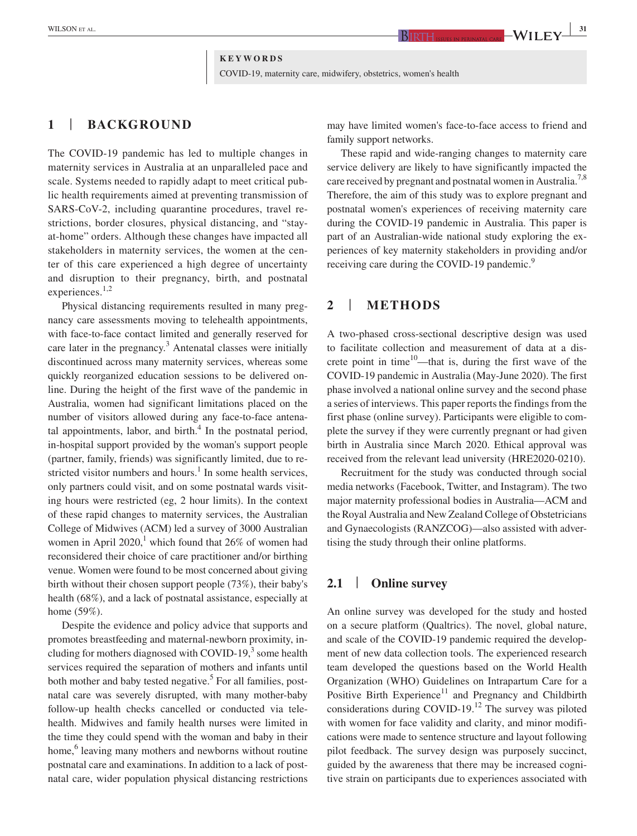# **KEYWORDS** COVID-19, maternity care, midwifery, obstetrics, women's health

# **1** | **BACKGROUND**

The COVID-19 pandemic has led to multiple changes in maternity services in Australia at an unparalleled pace and scale. Systems needed to rapidly adapt to meet critical public health requirements aimed at preventing transmission of SARS-CoV-2, including quarantine procedures, travel restrictions, border closures, physical distancing, and "stayat-home" orders. Although these changes have impacted all stakeholders in maternity services, the women at the center of this care experienced a high degree of uncertainty and disruption to their pregnancy, birth, and postnatal experiences.<sup>1,2</sup>

Physical distancing requirements resulted in many pregnancy care assessments moving to telehealth appointments, with face-to-face contact limited and generally reserved for care later in the pregnancy. $3$  Antenatal classes were initially discontinued across many maternity services, whereas some quickly reorganized education sessions to be delivered online. During the height of the first wave of the pandemic in Australia, women had significant limitations placed on the number of visitors allowed during any face-to-face antenatal appointments, labor, and birth. $<sup>4</sup>$  In the postnatal period,</sup> in-hospital support provided by the woman's support people (partner, family, friends) was significantly limited, due to restricted visitor numbers and hours.<sup>1</sup> In some health services, only partners could visit, and on some postnatal wards visiting hours were restricted (eg, 2 hour limits). In the context of these rapid changes to maternity services, the Australian College of Midwives (ACM) led a survey of 3000 Australian women in April 2020,<sup>1</sup> which found that  $26\%$  of women had reconsidered their choice of care practitioner and/or birthing venue. Women were found to be most concerned about giving birth without their chosen support people (73%), their baby's health (68%), and a lack of postnatal assistance, especially at home (59%).

Despite the evidence and policy advice that supports and promotes breastfeeding and maternal-newborn proximity, including for mothers diagnosed with COVID-19, $3$  some health services required the separation of mothers and infants until both mother and baby tested negative.<sup>5</sup> For all families, postnatal care was severely disrupted, with many mother-baby follow-up health checks cancelled or conducted via telehealth. Midwives and family health nurses were limited in the time they could spend with the woman and baby in their home,<sup>6</sup> leaving many mothers and newborns without routine postnatal care and examinations. In addition to a lack of postnatal care, wider population physical distancing restrictions

may have limited women's face-to-face access to friend and family support networks.

These rapid and wide-ranging changes to maternity care service delivery are likely to have significantly impacted the care received by pregnant and postnatal women in Australia.<sup>7,8</sup> Therefore, the aim of this study was to explore pregnant and postnatal women's experiences of receiving maternity care during the COVID-19 pandemic in Australia. This paper is part of an Australian-wide national study exploring the experiences of key maternity stakeholders in providing and/or receiving care during the COVID-19 pandemic.<sup>9</sup>

# **2** | **METHODS**

A two-phased cross-sectional descriptive design was used to facilitate collection and measurement of data at a discrete point in time<sup>10</sup>—that is, during the first wave of the COVID-19 pandemic in Australia (May-June 2020). The first phase involved a national online survey and the second phase a series of interviews. This paper reports the findings from the first phase (online survey). Participants were eligible to complete the survey if they were currently pregnant or had given birth in Australia since March 2020. Ethical approval was received from the relevant lead university (HRE2020-0210).

Recruitment for the study was conducted through social media networks (Facebook, Twitter, and Instagram). The two major maternity professional bodies in Australia—ACM and the Royal Australia and New Zealand College of Obstetricians and Gynaecologists (RANZCOG)—also assisted with advertising the study through their online platforms.

#### **2.1** | **Online survey**

An online survey was developed for the study and hosted on a secure platform (Qualtrics). The novel, global nature, and scale of the COVID-19 pandemic required the development of new data collection tools. The experienced research team developed the questions based on the World Health Organization (WHO) Guidelines on Intrapartum Care for a Positive Birth Experience<sup>11</sup> and Pregnancy and Childbirth considerations during COVID-19.<sup>12</sup> The survey was piloted with women for face validity and clarity, and minor modifications were made to sentence structure and layout following pilot feedback. The survey design was purposely succinct, guided by the awareness that there may be increased cognitive strain on participants due to experiences associated with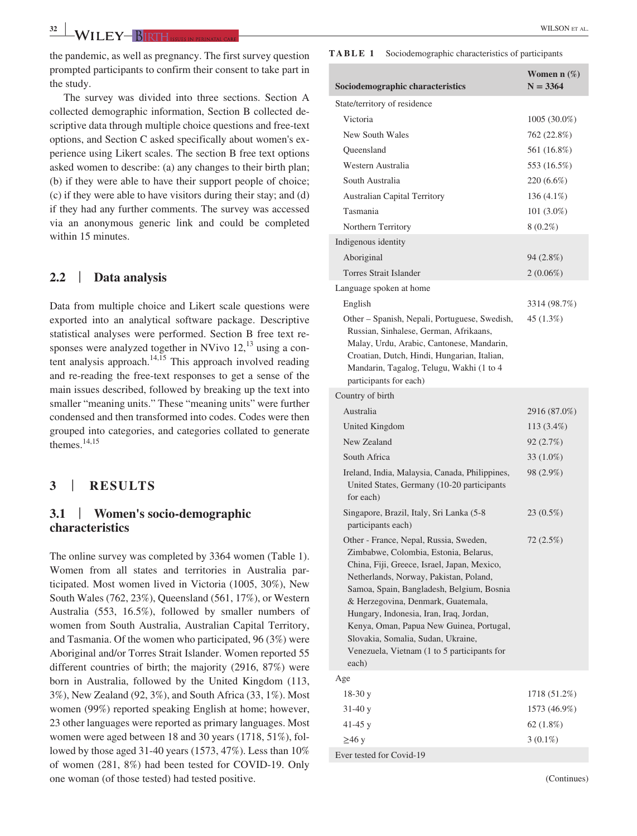**<sup>32</sup> <sup>|</sup>** WILSON et al.

the pandemic, as well as pregnancy. The first survey question prompted participants to confirm their consent to take part in the study.

The survey was divided into three sections. Section A collected demographic information, Section B collected descriptive data through multiple choice questions and free-text options, and Section C asked specifically about women's experience using Likert scales. The section B free text options asked women to describe: (a) any changes to their birth plan; (b) if they were able to have their support people of choice; (c) if they were able to have visitors during their stay; and (d) if they had any further comments. The survey was accessed via an anonymous generic link and could be completed within 15 minutes.

# **2.2** | **Data analysis**

Data from multiple choice and Likert scale questions were exported into an analytical software package. Descriptive statistical analyses were performed. Section B free text responses were analyzed together in NVivo  $12<sup>13</sup>$  using a content analysis approach.<sup>14,15</sup> This approach involved reading and re-reading the free-text responses to get a sense of the main issues described, followed by breaking up the text into smaller "meaning units." These "meaning units" were further condensed and then transformed into codes. Codes were then grouped into categories, and categories collated to generate themes.14,15

#### **3** | **RESULTS**

# **3.1** | **Women's socio-demographic characteristics**

The online survey was completed by 3364 women (Table 1). Women from all states and territories in Australia participated. Most women lived in Victoria (1005, 30%), New South Wales (762, 23%), Queensland (561, 17%), or Western Australia (553, 16.5%), followed by smaller numbers of women from South Australia, Australian Capital Territory, and Tasmania. Of the women who participated, 96 (3%) were Aboriginal and/or Torres Strait Islander. Women reported 55 different countries of birth; the majority (2916, 87%) were born in Australia, followed by the United Kingdom (113, 3%), New Zealand (92, 3%), and South Africa (33, 1%). Most women (99%) reported speaking English at home; however, 23 other languages were reported as primary languages. Most women were aged between 18 and 30 years (1718, 51%), followed by those aged 31-40 years (1573, 47%). Less than 10% of women (281, 8%) had been tested for COVID-19. Only one woman (of those tested) had tested positive.

#### **TABLE 1** Sociodemographic characteristics of participants

| Sociodemographic characteristics                                                                                                                                                                                                                                                                                                                                                                                                                 | Women n $(\%)$<br>$N = 3364$ |
|--------------------------------------------------------------------------------------------------------------------------------------------------------------------------------------------------------------------------------------------------------------------------------------------------------------------------------------------------------------------------------------------------------------------------------------------------|------------------------------|
| State/territory of residence                                                                                                                                                                                                                                                                                                                                                                                                                     |                              |
| Victoria                                                                                                                                                                                                                                                                                                                                                                                                                                         | 1005 (30.0%)                 |
| New South Wales                                                                                                                                                                                                                                                                                                                                                                                                                                  | 762 (22.8%)                  |
| Queensland                                                                                                                                                                                                                                                                                                                                                                                                                                       | 561 (16.8%)                  |
| Western Australia                                                                                                                                                                                                                                                                                                                                                                                                                                | 553 (16.5%)                  |
| South Australia                                                                                                                                                                                                                                                                                                                                                                                                                                  | 220 (6.6%)                   |
| <b>Australian Capital Territory</b>                                                                                                                                                                                                                                                                                                                                                                                                              | 136 (4.1%)                   |
| Tasmania                                                                                                                                                                                                                                                                                                                                                                                                                                         | $101(3.0\%)$                 |
| Northern Territory                                                                                                                                                                                                                                                                                                                                                                                                                               | $8(0.2\%)$                   |
| Indigenous identity                                                                                                                                                                                                                                                                                                                                                                                                                              |                              |
| Aboriginal                                                                                                                                                                                                                                                                                                                                                                                                                                       | 94 (2.8%)                    |
| <b>Torres Strait Islander</b>                                                                                                                                                                                                                                                                                                                                                                                                                    | $2(0.06\%)$                  |
| Language spoken at home                                                                                                                                                                                                                                                                                                                                                                                                                          |                              |
| English                                                                                                                                                                                                                                                                                                                                                                                                                                          | 3314 (98.7%)                 |
| Other – Spanish, Nepali, Portuguese, Swedish,<br>Russian, Sinhalese, German, Afrikaans,<br>Malay, Urdu, Arabic, Cantonese, Mandarin,<br>Croatian, Dutch, Hindi, Hungarian, Italian,<br>Mandarin, Tagalog, Telugu, Wakhi (1 to 4<br>participants for each)                                                                                                                                                                                        | 45 (1.3%)                    |
| Country of birth                                                                                                                                                                                                                                                                                                                                                                                                                                 |                              |
| Australia                                                                                                                                                                                                                                                                                                                                                                                                                                        | 2916 (87.0%)                 |
| United Kingdom                                                                                                                                                                                                                                                                                                                                                                                                                                   | 113 (3.4%)                   |
| New Zealand                                                                                                                                                                                                                                                                                                                                                                                                                                      | 92 (2.7%)                    |
| South Africa                                                                                                                                                                                                                                                                                                                                                                                                                                     | 33 (1.0%)                    |
| Ireland, India, Malaysia, Canada, Philippines,<br>United States, Germany (10-20 participants<br>for each)                                                                                                                                                                                                                                                                                                                                        | 98 (2.9%)                    |
| Singapore, Brazil, Italy, Sri Lanka (5-8<br>participants each)                                                                                                                                                                                                                                                                                                                                                                                   | 23 (0.5%)                    |
| Other - France, Nepal, Russia, Sweden,<br>Zimbabwe, Colombia, Estonia, Belarus,<br>China, Fiji, Greece, Israel, Japan, Mexico,<br>Netherlands, Norway, Pakistan, Poland,<br>Samoa, Spain, Bangladesh, Belgium, Bosnia<br>& Herzegovina, Denmark, Guatemala,<br>Hungary, Indonesia, Iran, Iraq, Jordan,<br>Kenya, Oman, Papua New Guinea, Portugal,<br>Slovakia, Somalia, Sudan, Ukraine,<br>Venezuela, Vietnam (1 to 5 participants for<br>each) | 72 (2.5%)                    |
| Age                                                                                                                                                                                                                                                                                                                                                                                                                                              |                              |
| $18-30y$                                                                                                                                                                                                                                                                                                                                                                                                                                         | 1718 (51.2%)                 |
| $31-40y$                                                                                                                                                                                                                                                                                                                                                                                                                                         | 1573 (46.9%)                 |
| 41-45 $y$                                                                                                                                                                                                                                                                                                                                                                                                                                        | 62 (1.8%)                    |
| $\geq 46$ y                                                                                                                                                                                                                                                                                                                                                                                                                                      | $3(0.1\%)$                   |
| Ever tested for Covid-19                                                                                                                                                                                                                                                                                                                                                                                                                         |                              |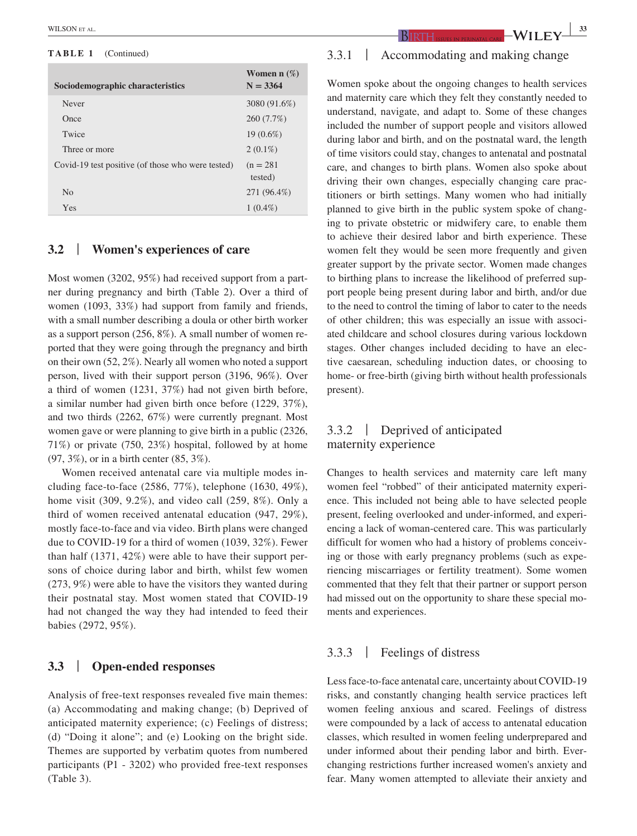#### **TABLE 1** (Continued)

| Sociodemographic characteristics                  | Women n $(\%)$<br>$N = 3364$ |
|---------------------------------------------------|------------------------------|
| Never                                             | 3080 (91.6%)                 |
| Once                                              | 260 (7.7%)                   |
| Twice                                             | $19(0.6\%)$                  |
| Three or more                                     | $2(0.1\%)$                   |
| Covid-19 test positive (of those who were tested) | $(n = 281)$<br>tested)       |
| N <sub>0</sub>                                    | 271 (96.4%)                  |
| Yes                                               | $1(0.4\%)$                   |

#### **3.2** | **Women's experiences of care**

Most women (3202, 95%) had received support from a partner during pregnancy and birth (Table 2). Over a third of women (1093, 33%) had support from family and friends, with a small number describing a doula or other birth worker as a support person (256, 8%). A small number of women reported that they were going through the pregnancy and birth on their own (52, 2%). Nearly all women who noted a support person, lived with their support person (3196, 96%). Over a third of women (1231, 37%) had not given birth before, a similar number had given birth once before (1229, 37%), and two thirds (2262, 67%) were currently pregnant. Most women gave or were planning to give birth in a public (2326, 71%) or private (750, 23%) hospital, followed by at home (97, 3%), or in a birth center (85, 3%).

Women received antenatal care via multiple modes including face-to-face (2586, 77%), telephone (1630, 49%), home visit (309, 9.2%), and video call (259, 8%). Only a third of women received antenatal education (947, 29%), mostly face-to-face and via video. Birth plans were changed due to COVID-19 for a third of women (1039, 32%). Fewer than half (1371, 42%) were able to have their support persons of choice during labor and birth, whilst few women (273, 9%) were able to have the visitors they wanted during their postnatal stay. Most women stated that COVID-19 had not changed the way they had intended to feed their babies (2972, 95%).

#### **3.3** | **Open-ended responses**

Analysis of free-text responses revealed five main themes: (a) Accommodating and making change; (b) Deprived of anticipated maternity experience; (c) Feelings of distress; (d) "Doing it alone"; and (e) Looking on the bright side. Themes are supported by verbatim quotes from numbered participants (P1 - 3202) who provided free-text responses (Table 3).

# 3.3.1 | Accommodating and making change

Women spoke about the ongoing changes to health services and maternity care which they felt they constantly needed to understand, navigate, and adapt to. Some of these changes included the number of support people and visitors allowed during labor and birth, and on the postnatal ward, the length of time visitors could stay, changes to antenatal and postnatal care, and changes to birth plans. Women also spoke about driving their own changes, especially changing care practitioners or birth settings. Many women who had initially planned to give birth in the public system spoke of changing to private obstetric or midwifery care, to enable them to achieve their desired labor and birth experience. These women felt they would be seen more frequently and given greater support by the private sector. Women made changes to birthing plans to increase the likelihood of preferred support people being present during labor and birth, and/or due to the need to control the timing of labor to cater to the needs of other children; this was especially an issue with associated childcare and school closures during various lockdown stages. Other changes included deciding to have an elective caesarean, scheduling induction dates, or choosing to home- or free-birth (giving birth without health professionals present).

# 3.3.2 | Deprived of anticipated maternity experience

Changes to health services and maternity care left many women feel "robbed" of their anticipated maternity experience. This included not being able to have selected people present, feeling overlooked and under-informed, and experiencing a lack of woman-centered care. This was particularly difficult for women who had a history of problems conceiving or those with early pregnancy problems (such as experiencing miscarriages or fertility treatment). Some women commented that they felt that their partner or support person had missed out on the opportunity to share these special moments and experiences.

#### 3.3.3 | Feelings of distress

Less face-to-face antenatal care, uncertainty about COVID-19 risks, and constantly changing health service practices left women feeling anxious and scared. Feelings of distress were compounded by a lack of access to antenatal education classes, which resulted in women feeling underprepared and under informed about their pending labor and birth. Everchanging restrictions further increased women's anxiety and fear. Many women attempted to alleviate their anxiety and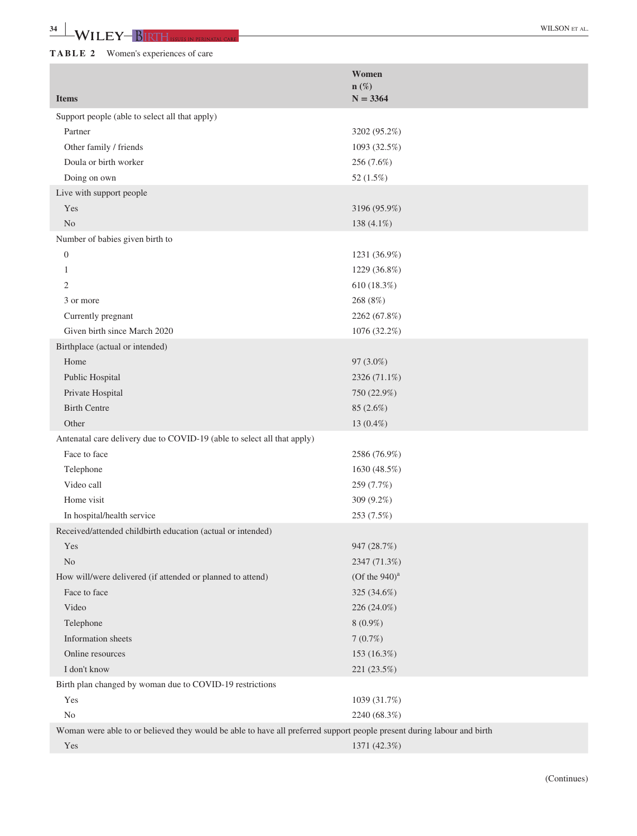|                                                                                                                        | Women<br>$n(\%)$   |
|------------------------------------------------------------------------------------------------------------------------|--------------------|
| <b>Items</b>                                                                                                           | $N = 3364$         |
| Support people (able to select all that apply)                                                                         |                    |
| Partner                                                                                                                | 3202 (95.2%)       |
| Other family / friends                                                                                                 | 1093 (32.5%)       |
| Doula or birth worker                                                                                                  | 256 (7.6%)         |
| Doing on own                                                                                                           | 52 (1.5%)          |
| Live with support people                                                                                               |                    |
| Yes                                                                                                                    | 3196 (95.9%)       |
| N <sub>o</sub>                                                                                                         | 138 (4.1%)         |
| Number of babies given birth to                                                                                        |                    |
| $\boldsymbol{0}$                                                                                                       | 1231 (36.9%)       |
| 1                                                                                                                      | 1229 (36.8%)       |
| 2                                                                                                                      | 610 (18.3%)        |
| 3 or more                                                                                                              | 268 (8%)           |
| Currently pregnant                                                                                                     | 2262 (67.8%)       |
| Given birth since March 2020                                                                                           | 1076 (32.2%)       |
| Birthplace (actual or intended)                                                                                        |                    |
| Home                                                                                                                   | 97 (3.0%)          |
| Public Hospital                                                                                                        | 2326 (71.1%)       |
| Private Hospital                                                                                                       | 750 (22.9%)        |
| <b>Birth Centre</b>                                                                                                    | 85 (2.6%)          |
| Other                                                                                                                  | 13 (0.4%)          |
| Antenatal care delivery due to COVID-19 (able to select all that apply)                                                |                    |
| Face to face                                                                                                           | 2586 (76.9%)       |
| Telephone                                                                                                              | 1630 (48.5%)       |
| Video call                                                                                                             | 259 (7.7%)         |
| Home visit                                                                                                             | 309 (9.2%)         |
| In hospital/health service                                                                                             | 253 (7.5%)         |
| Received/attended childbirth education (actual or intended)                                                            |                    |
| Yes                                                                                                                    | 947 (28.7%)        |
| N <sub>o</sub>                                                                                                         | 2347 (71.3%)       |
| How will/were delivered (if attended or planned to attend)                                                             | $(Of$ the $940)^a$ |
| Face to face                                                                                                           | 325 (34.6%)        |
| Video                                                                                                                  | 226 (24.0%)        |
| Telephone                                                                                                              | $8(0.9\%)$         |
| Information sheets                                                                                                     | 7(0.7%)            |
| Online resources                                                                                                       | 153 (16.3%)        |
| I don't know                                                                                                           | 221 (23.5%)        |
| Birth plan changed by woman due to COVID-19 restrictions                                                               |                    |
| Yes                                                                                                                    | 1039 (31.7%)       |
| No                                                                                                                     | 2240 (68.3%)       |
| Woman were able to or believed they would be able to have all preferred support people present during labour and birth |                    |
| Yes                                                                                                                    | 1371 (42.3%)       |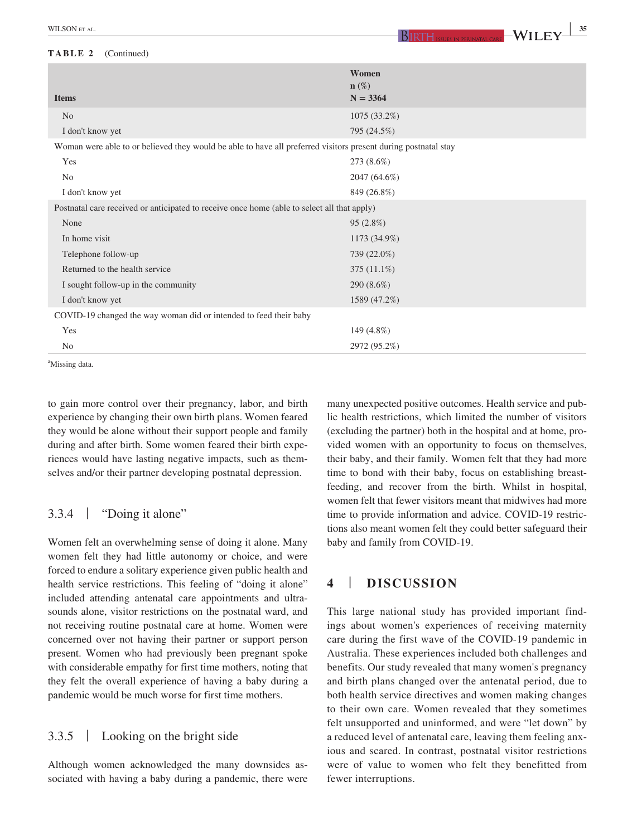#### **TABLE 2** (Continued)

| <b>Items</b>                                                                                                   | Women<br>$n(\%)$<br>$N = 3364$ |  |
|----------------------------------------------------------------------------------------------------------------|--------------------------------|--|
| N <sub>o</sub>                                                                                                 | 1075 (33.2%)                   |  |
| I don't know yet                                                                                               | 795 (24.5%)                    |  |
| Woman were able to or believed they would be able to have all preferred visitors present during postnatal stay |                                |  |
| Yes                                                                                                            | 273 (8.6%)                     |  |
| N <sub>0</sub>                                                                                                 | 2047 (64.6%)                   |  |
| I don't know yet                                                                                               | 849 (26.8%)                    |  |
| Postnatal care received or anticipated to receive once home (able to select all that apply)                    |                                |  |
| None                                                                                                           | 95(2.8%)                       |  |
| In home visit                                                                                                  | 1173 (34.9%)                   |  |
| Telephone follow-up                                                                                            | 739 (22.0%)                    |  |
| Returned to the health service                                                                                 | $375(11.1\%)$                  |  |
| I sought follow-up in the community                                                                            | 290 $(8.6\%)$                  |  |
| I don't know yet                                                                                               | 1589 (47.2%)                   |  |
| COVID-19 changed the way woman did or intended to feed their baby                                              |                                |  |
| Yes                                                                                                            | 149 (4.8%)                     |  |
| N <sub>0</sub>                                                                                                 | 2972 (95.2%)                   |  |

a Missing data.

to gain more control over their pregnancy, labor, and birth experience by changing their own birth plans. Women feared they would be alone without their support people and family during and after birth. Some women feared their birth experiences would have lasting negative impacts, such as themselves and/or their partner developing postnatal depression.

#### 3.3.4 | "Doing it alone"

Women felt an overwhelming sense of doing it alone. Many women felt they had little autonomy or choice, and were forced to endure a solitary experience given public health and health service restrictions. This feeling of "doing it alone" included attending antenatal care appointments and ultrasounds alone, visitor restrictions on the postnatal ward, and not receiving routine postnatal care at home. Women were concerned over not having their partner or support person present. Women who had previously been pregnant spoke with considerable empathy for first time mothers, noting that they felt the overall experience of having a baby during a pandemic would be much worse for first time mothers.

# 3.3.5 | Looking on the bright side

Although women acknowledged the many downsides associated with having a baby during a pandemic, there were many unexpected positive outcomes. Health service and public health restrictions, which limited the number of visitors (excluding the partner) both in the hospital and at home, provided women with an opportunity to focus on themselves, their baby, and their family. Women felt that they had more time to bond with their baby, focus on establishing breastfeeding, and recover from the birth. Whilst in hospital, women felt that fewer visitors meant that midwives had more time to provide information and advice. COVID-19 restrictions also meant women felt they could better safeguard their baby and family from COVID-19.

# **4** | **DISCUSSION**

This large national study has provided important findings about women's experiences of receiving maternity care during the first wave of the COVID-19 pandemic in Australia. These experiences included both challenges and benefits. Our study revealed that many women's pregnancy and birth plans changed over the antenatal period, due to both health service directives and women making changes to their own care. Women revealed that they sometimes felt unsupported and uninformed, and were "let down" by a reduced level of antenatal care, leaving them feeling anxious and scared. In contrast, postnatal visitor restrictions were of value to women who felt they benefitted from fewer interruptions.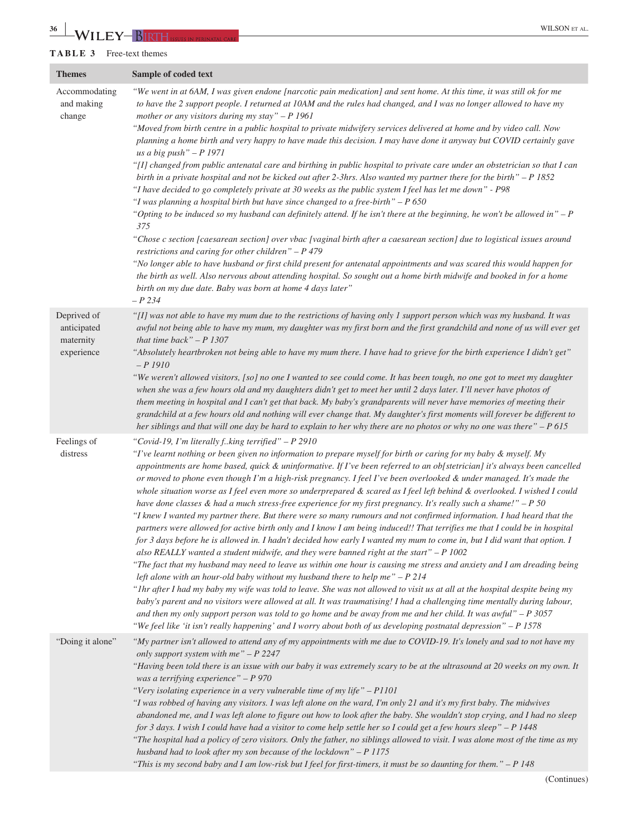#### **TABLE 3** Free-text themes

| <b>Themes</b>                                         | Sample of coded text                                                                                                                                                                                                                                                                                                                                                                                                                                                                                                                                                                                                                                                                                                                                                                                                                                                                                                                                                                                                                                                                                                                                                                                                                                                                                                                                                                                                                                                                                                                                                                                                                                                                                                                                                                                                                                                   |
|-------------------------------------------------------|------------------------------------------------------------------------------------------------------------------------------------------------------------------------------------------------------------------------------------------------------------------------------------------------------------------------------------------------------------------------------------------------------------------------------------------------------------------------------------------------------------------------------------------------------------------------------------------------------------------------------------------------------------------------------------------------------------------------------------------------------------------------------------------------------------------------------------------------------------------------------------------------------------------------------------------------------------------------------------------------------------------------------------------------------------------------------------------------------------------------------------------------------------------------------------------------------------------------------------------------------------------------------------------------------------------------------------------------------------------------------------------------------------------------------------------------------------------------------------------------------------------------------------------------------------------------------------------------------------------------------------------------------------------------------------------------------------------------------------------------------------------------------------------------------------------------------------------------------------------------|
| Accommodating<br>and making<br>change                 | "We went in at 6AM, I was given endone [narcotic pain medication] and sent home. At this time, it was still ok for me<br>to have the 2 support people. I returned at 10AM and the rules had changed, and I was no longer allowed to have my<br>mother or any visitors during my stay" $-P$ 1961<br>"Moved from birth centre in a public hospital to private midwifery services delivered at home and by video call. Now<br>planning a home birth and very happy to have made this decision. I may have done it anyway but COVID certainly gave<br>us a big push" $-P$ 1971<br>"[I] changed from public antenatal care and birthing in public hospital to private care under an obstetrician so that I can<br>birth in a private hospital and not be kicked out after 2-3hrs. Also wanted my partner there for the birth" $-P$ 1852<br>"I have decided to go completely private at 30 weeks as the public system I feel has let me down" - P98<br>"I was planning a hospital birth but have since changed to a free-birth" $- P 650$<br>"Opting to be induced so my husband can definitely attend. If he isn't there at the beginning, he won't be allowed in" $-P$<br>375<br>"Chose c section [caesarean section] over vbac [vaginal birth after a caesarean section] due to logistical issues around<br>restrictions and caring for other children" $- P 479$<br>"No longer able to have husband or first child present for antenatal appointments and was scared this would happen for<br>the birth as well. Also nervous about attending hospital. So sought out a home birth midwife and booked in for a home<br>birth on my due date. Baby was born at home 4 days later"<br>$- P 234$                                                                                                                                                                            |
| Deprived of<br>anticipated<br>maternity<br>experience | "[I] was not able to have my mum due to the restrictions of having only 1 support person which was my husband. It was<br>awful not being able to have my mum, my daughter was my first born and the first grandchild and none of us will ever get<br>that time back" $-P$ 1307<br>"Absolutely heartbroken not being able to have my mum there. I have had to grieve for the birth experience I didn't get"<br>$-P1910$<br>"We weren't allowed visitors, [so] no one I wanted to see could come. It has been tough, no one got to meet my daughter<br>when she was a few hours old and my daughters didn't get to meet her until 2 days later. I'll never have photos of<br>them meeting in hospital and I can't get that back. My baby's grandparents will never have memories of meeting their<br>grandchild at a few hours old and nothing will ever change that. My daughter's first moments will forever be different to<br>her siblings and that will one day be hard to explain to her why there are no photos or why no one was there" $- P 615$                                                                                                                                                                                                                                                                                                                                                                                                                                                                                                                                                                                                                                                                                                                                                                                                                |
| Feelings of<br>distress                               | "Covid-19, I'm literally fking terrified" - P 2910<br>"I've learnt nothing or been given no information to prepare myself for birth or caring for my baby & myself. My<br>appointments are home based, quick & uninformative. If I've been referred to an ob[stetrician] it's always been cancelled<br>or moved to phone even though I'm a high-risk pregnancy. I feel I've been overlooked & under managed. It's made the<br>whole situation worse as I feel even more so underprepared & scared as I feel left behind & overlooked. I wished I could<br>have done classes & had a much stress-free experience for my first pregnancy. It's really such a shame!" - P 50<br>"I knew I wanted my partner there. But there were so many rumours and not confirmed information. I had heard that the<br>partners were allowed for active birth only and I know I am being induced!! That terrifies me that I could be in hospital<br>for 3 days before he is allowed in. I hadn't decided how early I wanted my mum to come in, but I did want that option. I<br>also REALLY wanted a student midwife, and they were banned right at the start" $-P$ 1002<br>"The fact that my husband may need to leave us within one hour is causing me stress and anxiety and I am dreading being<br>left alone with an hour-old baby without my husband there to help me" $- P 214$<br>"Ihr after I had my baby my wife was told to leave. She was not allowed to visit us at all at the hospital despite being my<br>baby's parent and no visitors were allowed at all. It was traumatising! I had a challenging time mentally during labour,<br>and then my only support person was told to go home and be away from me and her child. It was awful" $-P$ 3057<br>"We feel like 'it isn't really happening' and I worry about both of us developing postnatal depression" - P 1578 |
| "Doing it alone"                                      | "My partner isn't allowed to attend any of my appointments with me due to COVID-19. It's lonely and sad to not have my<br>only support system with me" $- P 2247$<br>"Having been told there is an issue with our baby it was extremely scary to be at the ultrasound at 20 weeks on my own. It<br>was a terrifying experience" $- P 970$<br>"Very isolating experience in a very vulnerable time of my life" $-$ P1101<br>"I was robbed of having any visitors. I was left alone on the ward, I'm only 21 and it's my first baby. The midwives<br>abandoned me, and I was left alone to figure out how to look after the baby. She wouldn't stop crying, and I had no sleep<br>for 3 days. I wish I could have had a visitor to come help settle her so I could get a few hours sleep" - P 1448<br>"The hospital had a policy of zero visitors. Only the father, no siblings allowed to visit. I was alone most of the time as my<br>husband had to look after my son because of the lockdown" $- P 1175$<br>"This is my second baby and I am low-risk but I feel for first-timers, it must be so daunting for them." $- P 148$                                                                                                                                                                                                                                                                                                                                                                                                                                                                                                                                                                                                                                                                                                                                       |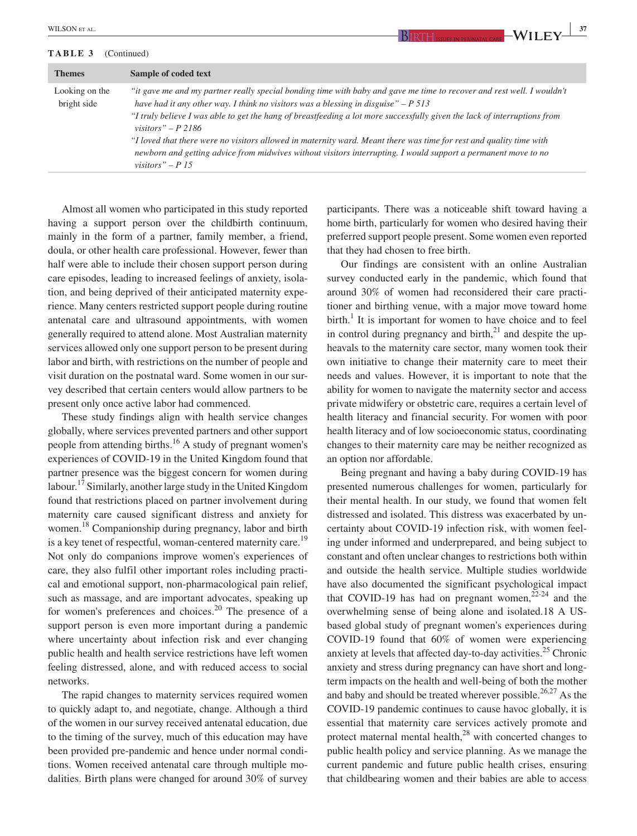#### **TABLE 3** (Continued)

| <b>WILSON</b><br>AL.<br>.<br>4 I T |  | $\sim$ |
|------------------------------------|--|--------|
|                                    |  |        |

| <b>Themes</b>                 | Sample of coded text                                                                                                                                                                                                                                                                                                                                                                                                                                                                                                                                                                                                            |
|-------------------------------|---------------------------------------------------------------------------------------------------------------------------------------------------------------------------------------------------------------------------------------------------------------------------------------------------------------------------------------------------------------------------------------------------------------------------------------------------------------------------------------------------------------------------------------------------------------------------------------------------------------------------------|
| Looking on the<br>bright side | "it gave me and my partner really special bonding time with baby and gave me time to recover and rest well. I wouldn't<br>have had it any other way. I think no visitors was a blessing in disguise" $-P$ 513<br>"I truly believe I was able to get the hang of breastfeeding a lot more successfully given the lack of interruptions from<br>visitors" – P 2186<br>"I loved that there were no visitors allowed in maternity ward. Meant there was time for rest and quality time with<br>newborn and getting advice from midwives without visitors interrupting. I would support a permanent move to no<br>visitors" – $P$ 15 |

Almost all women who participated in this study reported having a support person over the childbirth continuum, mainly in the form of a partner, family member, a friend, doula, or other health care professional. However, fewer than half were able to include their chosen support person during care episodes, leading to increased feelings of anxiety, isolation, and being deprived of their anticipated maternity experience. Many centers restricted support people during routine antenatal care and ultrasound appointments, with women generally required to attend alone. Most Australian maternity services allowed only one support person to be present during labor and birth, with restrictions on the number of people and visit duration on the postnatal ward. Some women in our survey described that certain centers would allow partners to be present only once active labor had commenced.

These study findings align with health service changes globally, where services prevented partners and other support people from attending births.16 A study of pregnant women's experiences of COVID-19 in the United Kingdom found that partner presence was the biggest concern for women during labour.<sup>17</sup> Similarly, another large study in the United Kingdom found that restrictions placed on partner involvement during maternity care caused significant distress and anxiety for women.<sup>18</sup> Companionship during pregnancy, labor and birth is a key tenet of respectful, woman-centered maternity care.<sup>19</sup> Not only do companions improve women's experiences of care, they also fulfil other important roles including practical and emotional support, non-pharmacological pain relief, such as massage, and are important advocates, speaking up for women's preferences and choices.<sup>20</sup> The presence of a support person is even more important during a pandemic where uncertainty about infection risk and ever changing public health and health service restrictions have left women feeling distressed, alone, and with reduced access to social networks.

The rapid changes to maternity services required women to quickly adapt to, and negotiate, change. Although a third of the women in our survey received antenatal education, due to the timing of the survey, much of this education may have been provided pre-pandemic and hence under normal conditions. Women received antenatal care through multiple modalities. Birth plans were changed for around 30% of survey participants. There was a noticeable shift toward having a home birth, particularly for women who desired having their preferred support people present. Some women even reported that they had chosen to free birth.

Our findings are consistent with an online Australian survey conducted early in the pandemic, which found that around 30% of women had reconsidered their care practitioner and birthing venue, with a major move toward home  $\text{birth.}^1$  It is important for women to have choice and to feel in control during pregnancy and birth, $^{21}$  and despite the upheavals to the maternity care sector, many women took their own initiative to change their maternity care to meet their needs and values. However, it is important to note that the ability for women to navigate the maternity sector and access private midwifery or obstetric care, requires a certain level of health literacy and financial security. For women with poor health literacy and of low socioeconomic status, coordinating changes to their maternity care may be neither recognized as an option nor affordable.

Being pregnant and having a baby during COVID-19 has presented numerous challenges for women, particularly for their mental health. In our study, we found that women felt distressed and isolated. This distress was exacerbated by uncertainty about COVID-19 infection risk, with women feeling under informed and underprepared, and being subject to constant and often unclear changes to restrictions both within and outside the health service. Multiple studies worldwide have also documented the significant psychological impact that COVID-19 has had on pregnant women,  $22-24$  and the overwhelming sense of being alone and isolated.18 A USbased global study of pregnant women's experiences during COVID-19 found that 60% of women were experiencing anxiety at levels that affected day-to-day activities.<sup>25</sup> Chronic anxiety and stress during pregnancy can have short and longterm impacts on the health and well-being of both the mother and baby and should be treated wherever possible.<sup>26,27</sup> As the COVID-19 pandemic continues to cause havoc globally, it is essential that maternity care services actively promote and protect maternal mental health, $^{28}$  with concerted changes to public health policy and service planning. As we manage the current pandemic and future public health crises, ensuring that childbearing women and their babies are able to access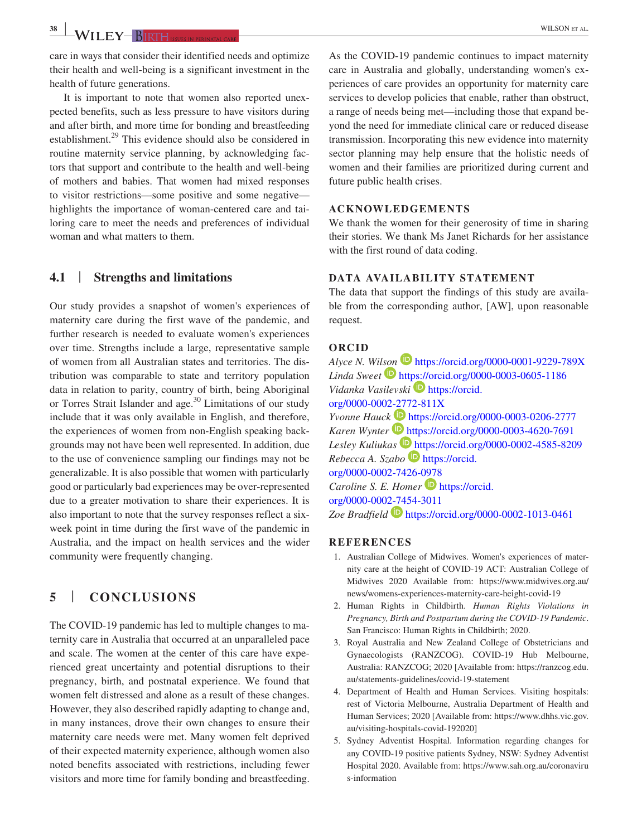care in ways that consider their identified needs and optimize their health and well-being is a significant investment in the health of future generations.

It is important to note that women also reported unexpected benefits, such as less pressure to have visitors during and after birth, and more time for bonding and breastfeeding establishment.<sup>29</sup> This evidence should also be considered in routine maternity service planning, by acknowledging factors that support and contribute to the health and well-being of mothers and babies. That women had mixed responses to visitor restrictions—some positive and some negative highlights the importance of woman-centered care and tailoring care to meet the needs and preferences of individual woman and what matters to them.

# **4.1** | **Strengths and limitations**

Our study provides a snapshot of women's experiences of maternity care during the first wave of the pandemic, and further research is needed to evaluate women's experiences over time. Strengths include a large, representative sample of women from all Australian states and territories. The distribution was comparable to state and territory population data in relation to parity, country of birth, being Aboriginal or Torres Strait Islander and age. $30$  Limitations of our study include that it was only available in English, and therefore, the experiences of women from non-English speaking backgrounds may not have been well represented. In addition, due to the use of convenience sampling our findings may not be generalizable. It is also possible that women with particularly good or particularly bad experiences may be over-represented due to a greater motivation to share their experiences. It is also important to note that the survey responses reflect a sixweek point in time during the first wave of the pandemic in Australia, and the impact on health services and the wider community were frequently changing.

# **5** | **CONCLUSIONS**

The COVID-19 pandemic has led to multiple changes to maternity care in Australia that occurred at an unparalleled pace and scale. The women at the center of this care have experienced great uncertainty and potential disruptions to their pregnancy, birth, and postnatal experience. We found that women felt distressed and alone as a result of these changes. However, they also described rapidly adapting to change and, in many instances, drove their own changes to ensure their maternity care needs were met. Many women felt deprived of their expected maternity experience, although women also noted benefits associated with restrictions, including fewer visitors and more time for family bonding and breastfeeding.

As the COVID-19 pandemic continues to impact maternity care in Australia and globally, understanding women's experiences of care provides an opportunity for maternity care services to develop policies that enable, rather than obstruct,

a range of needs being met—including those that expand beyond the need for immediate clinical care or reduced disease transmission. Incorporating this new evidence into maternity sector planning may help ensure that the holistic needs of women and their families are prioritized during current and future public health crises.

#### **ACKNOWLEDGEMENTS**

We thank the women for their generosity of time in sharing their stories. We thank Ms Janet Richards for her assistance with the first round of data coding.

#### **DATA AVAILABILITY STATEMENT**

The data that support the findings of this study are available from the corresponding author, [AW], upon reasonable request.

#### **ORCID**

*Alyce N. Wi[lson](https://orcid.org/0000-0003-0605-1186)* <https://orcid.org/0000-0001-9229-789X> *Linda Sweet* <https://orcid.org/0000-0003-0605-1186> *Vidanka Vasilevski* **[https://orcid.](https://orcid.org/0000-0002-2772-811X)** [org/0000-0002-2772-811X](https://orcid.org/0000-0002-2772-811X) *Yvonne Hauc[k](https://orcid.org/0000-0003-4620-7691)* <https://orcid.org/0000-0003-0206-2777> *Karen Wynter* <https://orcid.org/0000-0003-4620-7691> Lesley Kuliukas<sup>1</sup> <https://orcid.org/0000-0002-4585-8209> *Rebecca A. Szabo* [https://orcid.](https://orcid.org/0000-0002-7426-0978) [org/0000-0002-7426-0978](https://orcid.org/0000-0002-7426-0978) *Caroline S. E. Homer* **D** [https://orcid.](https://orcid.org/0000-0002-7454-3011) [org/0000-0002-7454-3011](https://orcid.org/0000-0002-7454-3011) *Zoe Bradfield* <https://orcid.org/0000-0002-1013-0461>

**REFERENCES**

- 1. Australian College of Midwives. Women's experiences of maternity care at the height of COVID-19 ACT: Australian College of Midwives 2020 Available from: [https://www.midwives.org.au/](https://www.midwives.org.au/news/womens-experiences-maternity-care-height-covid-19) [news/womens-experiences-maternity-care-height-covid-19](https://www.midwives.org.au/news/womens-experiences-maternity-care-height-covid-19)
- 2. Human Rights in Childbirth. *Human Rights Violations in Pregnancy, Birth and Postpartum during the COVID-19 Pandemic*. San Francisco: Human Rights in Childbirth; 2020.
- 3. Royal Australia and New Zealand College of Obstetricians and Gynaecologists (RANZCOG). COVID-19 Hub Melbourne, Australia: RANZCOG; 2020 [Available from: [https://ranzcog.edu.](https://ranzcog.edu.au/statements-guidelines/covid-19-statement) [au/statements-guidelines/covid-19-statement](https://ranzcog.edu.au/statements-guidelines/covid-19-statement)
- 4. Department of Health and Human Services. Visiting hospitals: rest of Victoria Melbourne, Australia Department of Health and Human Services; 2020 [Available from: [https://www.dhhs.vic.gov.](https://www.dhhs.vic.gov.au/visiting-hospitals-covid-192020) [au/visiting-hospitals-covid-192020](https://www.dhhs.vic.gov.au/visiting-hospitals-covid-192020)]
- 5. Sydney Adventist Hospital. Information regarding changes for any COVID-19 positive patients Sydney, NSW: Sydney Adventist Hospital 2020. Available from: [https://www.sah.org.au/coronaviru](https://www.sah.org.au/coronavirus-information) [s-information](https://www.sah.org.au/coronavirus-information)